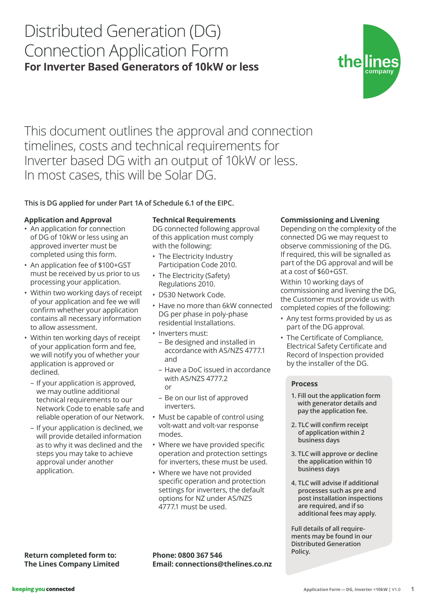# Distributed Generation (DG) Connection Application Form **For Inverter Based Generators of 10kW or less**



This document outlines the approval and connection timelines, costs and technical requirements for Inverter based DG with an output of 10kW or less. In most cases, this will be Solar DG.

## **This is DG applied for under Part 1A of Schedule 6.1 of the EIPC.**

### **Application and Approval**

- An application for connection of DG of 10kW or less using an approved inverter must be completed using this form.
- An application fee of \$100+GST must be received by us prior to us processing your application.
- Within two working days of receipt of your application and fee we will confirm whether your application contains all necessary information to allow assessment.
- Within ten working days of receipt of your application form and fee, we will notify you of whether your application is approved or declined.
	- If your application is approved, we may outline additional technical requirements to our Network Code to enable safe and reliable operation of our Network.
	- If your application is declined, we will provide detailed information as to why it was declined and the steps you may take to achieve approval under another application.

#### **Technical Requirements**

DG connected following approval of this application must comply with the following:

- The Electricity Industry Participation Code 2010.
- The Electricity (Safety) Regulations 2010.
- DS30 Network Code.
- Have no more than 6kW connected DG per phase in poly-phase residential Installations.
- Inverters must:
- Be designed and installed in accordance with AS/NZS 4777.1 and
- Have a DoC issued in accordance with AS/NZS 4777.2 or
- Be on our list of approved inverters.
- Must be capable of control using volt-watt and volt-var response modes.
- Where we have provided specific operation and protection settings for inverters, these must be used.
- Where we have not provided specific operation and protection settings for inverters, the default options for NZ under AS/NZS 4777.1 must be used.

### **Commissioning and Livening**

Depending on the complexity of the connected DG we may request to observe commissioning of the DG. If required, this will be signalled as part of the DG approval and will be at a cost of \$60+GST.

Within 10 working days of commissioning and livening the DG, the Customer must provide us with completed copies of the following:

- Any test forms provided by us as part of the DG approval.
- The Certificate of Compliance, Electrical Safety Certificate and Record of Inspection provided by the installer of the DG.

#### **Process**

- **1. Fill out the application form with generator details and pay the application fee.**
- **2. TLC will confirm receipt of application within 2 business days**
- **3. TLC will approve or decline the application within 10 business days**
- **4. TLC will advise if additional processes such as pre and post installation inspections are required, and if so additional fees may apply.**

**Full details of all requirements may be found in our Distributed Generation** 

**The Lines Company Limited**

**Policy. Return completed form to: Phone: 0800 367 546** Policy. **Phone: 0800 367 546 Email: connections@thelines.co.nz**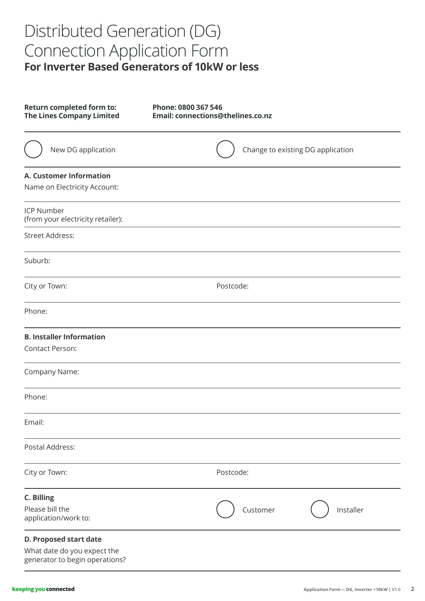# Distributed Generation (DG) Connection Application Form **For Inverter Based Generators of 10kW or less**

| <b>Return completed form to:</b><br><b>The Lines Company Limited</b>                    | Phone: 0800 367 546<br>Email: connections@thelines.co.nz |
|-----------------------------------------------------------------------------------------|----------------------------------------------------------|
| New DG application                                                                      | Change to existing DG application                        |
| <b>A. Customer Information</b><br>Name on Electricity Account:                          |                                                          |
| <b>ICP Number</b><br>(from your electricity retailer):                                  |                                                          |
| <b>Street Address:</b>                                                                  |                                                          |
| Suburb:                                                                                 |                                                          |
| City or Town:                                                                           | Postcode:                                                |
| Phone:                                                                                  |                                                          |
| <b>B. Installer Information</b><br><b>Contact Person:</b>                               |                                                          |
| Company Name:                                                                           |                                                          |
| Phone:                                                                                  |                                                          |
| Email:                                                                                  |                                                          |
| Postal Address:                                                                         |                                                          |
| City or Town:                                                                           | Postcode:                                                |
| <b>C. Billing</b><br>Please bill the<br>application/work to:                            | Installer<br>Customer                                    |
| D. Proposed start date<br>What date do you expect the<br>generator to begin operations? |                                                          |